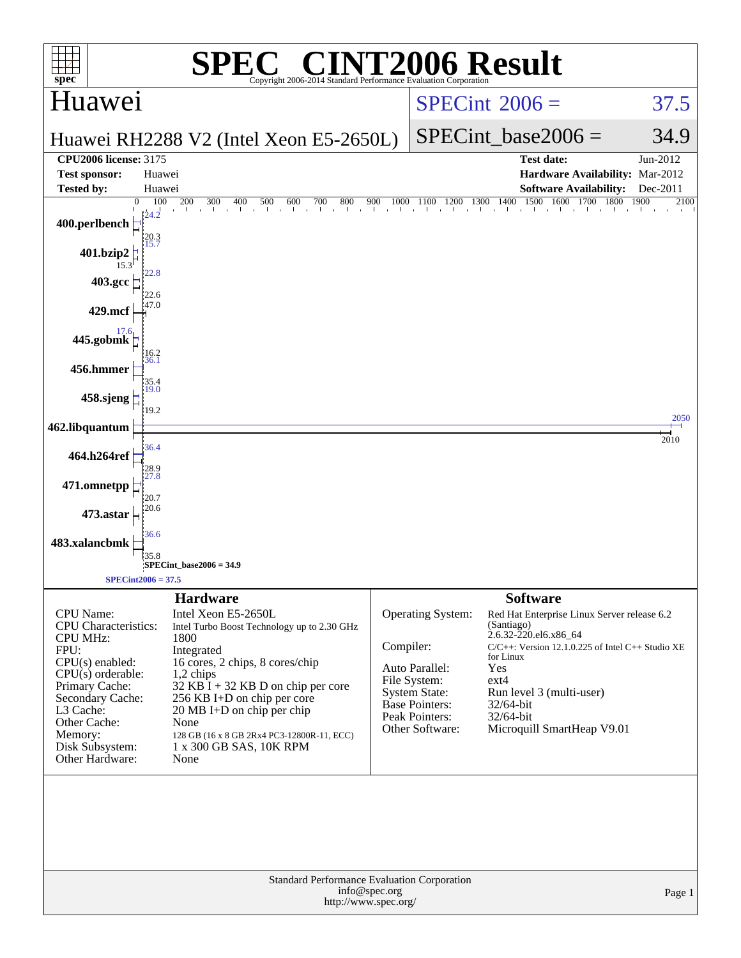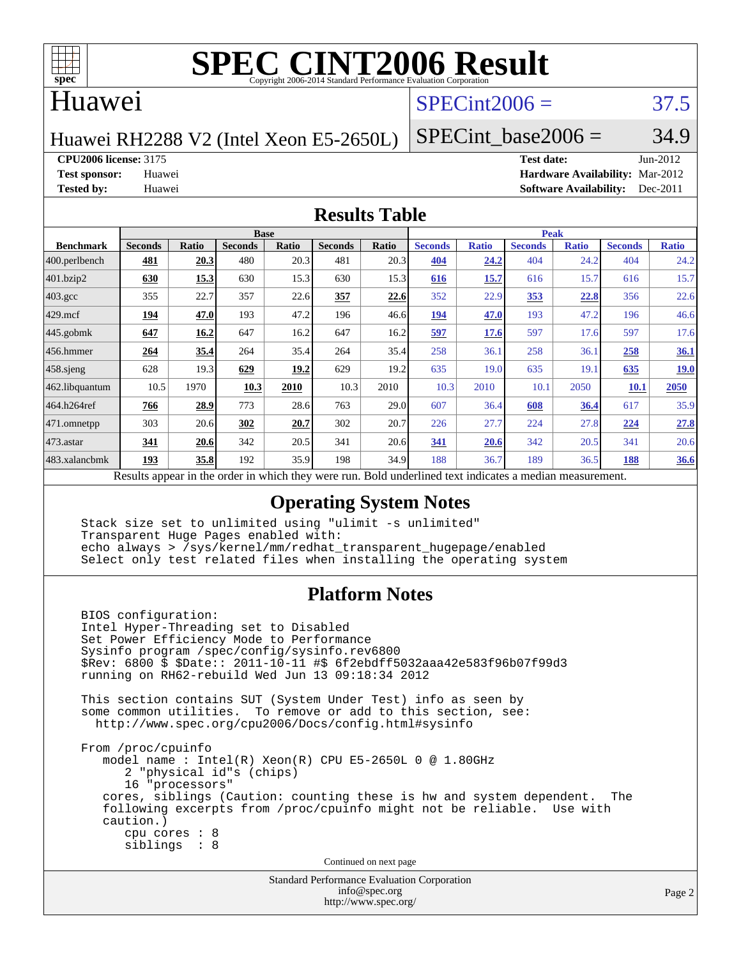

#### Huawei

## $SPECint2006 = 37.5$  $SPECint2006 = 37.5$

Huawei RH2288 V2 (Intel Xeon E5-2650L)

SPECint base2006 =  $34.9$ 

**[CPU2006 license:](http://www.spec.org/auto/cpu2006/Docs/result-fields.html#CPU2006license)** 3175 **[Test date:](http://www.spec.org/auto/cpu2006/Docs/result-fields.html#Testdate)** Jun-2012

**[Test sponsor:](http://www.spec.org/auto/cpu2006/Docs/result-fields.html#Testsponsor)** Huawei **[Hardware Availability:](http://www.spec.org/auto/cpu2006/Docs/result-fields.html#HardwareAvailability)** Mar-2012 **[Tested by:](http://www.spec.org/auto/cpu2006/Docs/result-fields.html#Testedby)** Huawei **[Software Availability:](http://www.spec.org/auto/cpu2006/Docs/result-fields.html#SoftwareAvailability)** Dec-2011

#### **[Results Table](http://www.spec.org/auto/cpu2006/Docs/result-fields.html#ResultsTable)**

| <b>Base</b>    |       |                |       |                |              | <b>Peak</b>    |              |                |              |                |              |
|----------------|-------|----------------|-------|----------------|--------------|----------------|--------------|----------------|--------------|----------------|--------------|
| <b>Seconds</b> | Ratio | <b>Seconds</b> | Ratio | <b>Seconds</b> | Ratio        | <b>Seconds</b> | <b>Ratio</b> | <b>Seconds</b> | <b>Ratio</b> | <b>Seconds</b> | <b>Ratio</b> |
| 481            | 20.3  | 480            | 20.3  | 481            | 20.3         | 404            | 24.2         | 404            | 24.2         | 404            | 24.2         |
| 630            | 15.3  | 630            | 15.3  | 630            | 15.3         | 616            | 15.7         | 616            | 15.7         | 616            | 15.7         |
| 355            | 22.7  | 357            | 22.6  | 357            | 22.6         | 352            | 22.9         | 353            | 22.8         | 356            | 22.6         |
| 194            | 47.0  | 193            | 47.2  | 196            | 46.6         | <u>194</u>     | 47.0         | 193            | 47.2         | 196            | 46.6         |
| 647            | 16.2  | 647            | 16.2  | 647            | 16.2         | 597            | 17.6         | 597            | 17.6         | 597            | 17.6         |
| 264            | 35.4  | 264            | 35.4  | 264            | 35.4         | 258            | 36.1         | 258            | 36.1         | 258            | <u>36.1</u>  |
| 628            | 19.3  | 629            | 19.2  | 629            | 19.2         | 635            | 19.0         | 635            | 19.1         | 635            | <u>19.0</u>  |
| 10.5           | 1970  | 10.3           | 2010  | 10.3           | 2010         | 10.3           | 2010         | 10.1           | 2050         | 10.1           | 2050         |
| 766            | 28.9  | 773            |       | 763            | 29.0         | 607            | 36.4         | 608            | 36.4         | 617            | 35.9         |
| 303            | 20.6  | 302            | 20.7  | 302            | 20.7         | 226            | 27.7         | 224            | 27.8         | 224            | 27.8         |
| 341            | 20.6  | 342            | 20.5  | 341            | 20.6         | 341            | 20.6         | 342            | 20.5         | 341            | 20.6         |
| 193            | 35.8  | 192            |       | 198            | 34.9         | 188            | 36.7         | 189            | 36.5         | 188            | <b>36.6</b>  |
|                |       |                |       |                | 28.6<br>35.9 |                |              |                |              |                |              |

Results appear in the [order in which they were run.](http://www.spec.org/auto/cpu2006/Docs/result-fields.html#RunOrder) Bold underlined text [indicates a median measurement.](http://www.spec.org/auto/cpu2006/Docs/result-fields.html#Median)

#### **[Operating System Notes](http://www.spec.org/auto/cpu2006/Docs/result-fields.html#OperatingSystemNotes)**

 Stack size set to unlimited using "ulimit -s unlimited" Transparent Huge Pages enabled with: echo always > /sys/kernel/mm/redhat\_transparent\_hugepage/enabled Select only test related files when installing the operating system

#### **[Platform Notes](http://www.spec.org/auto/cpu2006/Docs/result-fields.html#PlatformNotes)**

 BIOS configuration: Intel Hyper-Threading set to Disabled Set Power Efficiency Mode to Performance Sysinfo program /spec/config/sysinfo.rev6800 \$Rev: 6800 \$ \$Date:: 2011-10-11 #\$ 6f2ebdff5032aaa42e583f96b07f99d3 running on RH62-rebuild Wed Jun 13 09:18:34 2012 This section contains SUT (System Under Test) info as seen by some common utilities. To remove or add to this section, see: <http://www.spec.org/cpu2006/Docs/config.html#sysinfo> From /proc/cpuinfo model name : Intel(R) Xeon(R) CPU E5-2650L 0 @ 1.80GHz 2 "physical id"s (chips) 16 "processors" cores, siblings (Caution: counting these is hw and system dependent. The following excerpts from /proc/cpuinfo might not be reliable. Use with caution.) cpu cores : 8 siblings : 8 Continued on next page

> Standard Performance Evaluation Corporation [info@spec.org](mailto:info@spec.org) <http://www.spec.org/>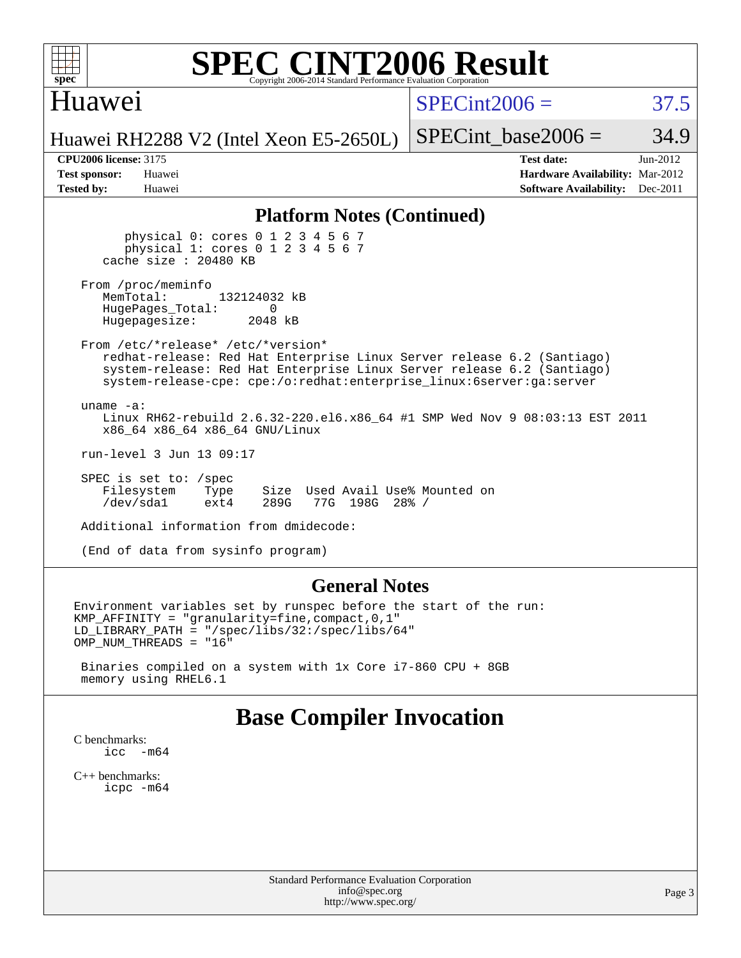

## Huawei

 $SPECint2006 = 37.5$  $SPECint2006 = 37.5$ 

Huawei RH2288 V2 (Intel Xeon E5-2650L)

SPECint base2006 =  $34.9$ 

| <b>Test sponsor:</b> | Huawei |
|----------------------|--------|
| <b>Tested by:</b>    | Huawei |

**[CPU2006 license:](http://www.spec.org/auto/cpu2006/Docs/result-fields.html#CPU2006license)** 3175 **[Test date:](http://www.spec.org/auto/cpu2006/Docs/result-fields.html#Testdate)** Jun-2012 **[Hardware Availability:](http://www.spec.org/auto/cpu2006/Docs/result-fields.html#HardwareAvailability)** Mar-2012 **[Software Availability:](http://www.spec.org/auto/cpu2006/Docs/result-fields.html#SoftwareAvailability)** Dec-2011

#### **[Platform Notes \(Continued\)](http://www.spec.org/auto/cpu2006/Docs/result-fields.html#PlatformNotes)**

 physical 0: cores 0 1 2 3 4 5 6 7 physical 1: cores 0 1 2 3 4 5 6 7 cache size : 20480 KB

From /proc/meminfo<br>MemTotal: 132124032 kB HugePages\_Total: 0<br>Hugepagesize: 2048 kB Hugepagesize:

 From /etc/\*release\* /etc/\*version\* redhat-release: Red Hat Enterprise Linux Server release 6.2 (Santiago) system-release: Red Hat Enterprise Linux Server release 6.2 (Santiago) system-release-cpe: cpe:/o:redhat:enterprise\_linux:6server:ga:server

 uname -a: Linux RH62-rebuild 2.6.32-220.el6.x86\_64 #1 SMP Wed Nov 9 08:03:13 EST 2011 x86\_64 x86\_64 x86\_64 GNU/Linux

run-level 3 Jun 13 09:17

 SPEC is set to: /spec Filesystem Type Size Used Avail Use% Mounted on<br>
/dev/sda1 ext4 289G 77G 198G 28% / 77G 198G 28% /

Additional information from dmidecode:

(End of data from sysinfo program)

#### **[General Notes](http://www.spec.org/auto/cpu2006/Docs/result-fields.html#GeneralNotes)**

Environment variables set by runspec before the start of the run: KMP\_AFFINITY = "granularity=fine,compact,0,1" LD\_LIBRARY\_PATH = "/spec/libs/32:/spec/libs/64" OMP\_NUM\_THREADS = "16"

 Binaries compiled on a system with 1x Core i7-860 CPU + 8GB memory using RHEL6.1

### **[Base Compiler Invocation](http://www.spec.org/auto/cpu2006/Docs/result-fields.html#BaseCompilerInvocation)**

[C benchmarks](http://www.spec.org/auto/cpu2006/Docs/result-fields.html#Cbenchmarks): icc  $-m64$ 

[C++ benchmarks:](http://www.spec.org/auto/cpu2006/Docs/result-fields.html#CXXbenchmarks) [icpc -m64](http://www.spec.org/cpu2006/results/res2012q3/cpu2006-20120628-23252.flags.html#user_CXXbase_intel_icpc_64bit_fc66a5337ce925472a5c54ad6a0de310)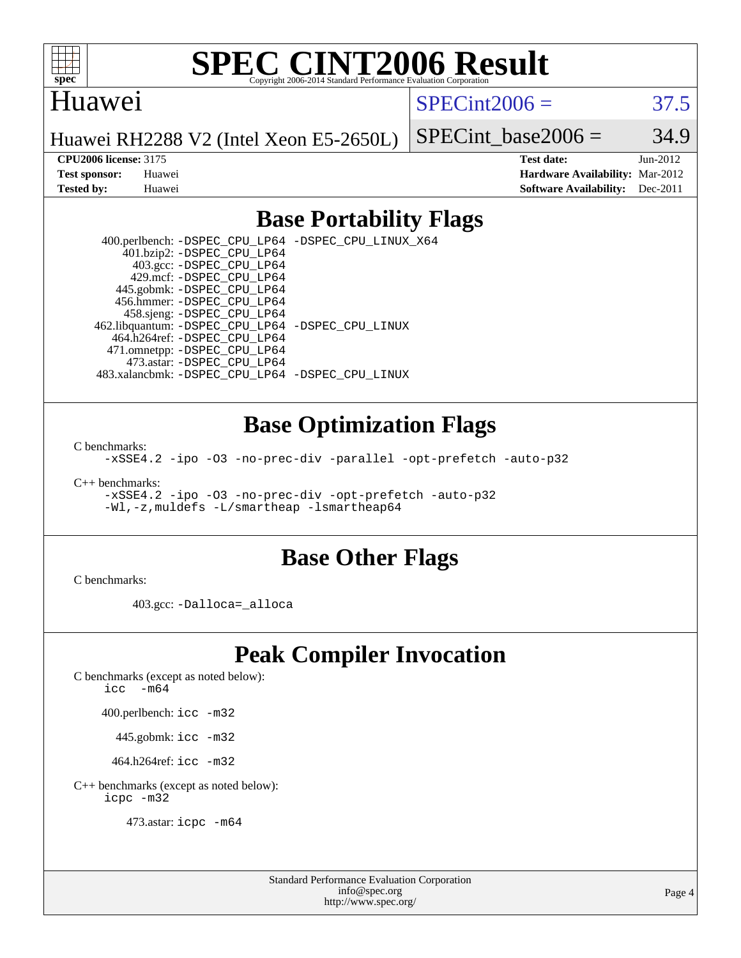

#### Huawei

 $SPECint2006 = 37.5$  $SPECint2006 = 37.5$ 

Huawei RH2288 V2 (Intel Xeon E5-2650L)

SPECint base2006 =  $34.9$ 

**[CPU2006 license:](http://www.spec.org/auto/cpu2006/Docs/result-fields.html#CPU2006license)** 3175 **[Test date:](http://www.spec.org/auto/cpu2006/Docs/result-fields.html#Testdate)** Jun-2012 **[Test sponsor:](http://www.spec.org/auto/cpu2006/Docs/result-fields.html#Testsponsor)** Huawei **[Hardware Availability:](http://www.spec.org/auto/cpu2006/Docs/result-fields.html#HardwareAvailability)** Mar-2012 **[Tested by:](http://www.spec.org/auto/cpu2006/Docs/result-fields.html#Testedby)** Huawei **[Software Availability:](http://www.spec.org/auto/cpu2006/Docs/result-fields.html#SoftwareAvailability)** Dec-2011

## **[Base Portability Flags](http://www.spec.org/auto/cpu2006/Docs/result-fields.html#BasePortabilityFlags)**

 400.perlbench: [-DSPEC\\_CPU\\_LP64](http://www.spec.org/cpu2006/results/res2012q3/cpu2006-20120628-23252.flags.html#b400.perlbench_basePORTABILITY_DSPEC_CPU_LP64) [-DSPEC\\_CPU\\_LINUX\\_X64](http://www.spec.org/cpu2006/results/res2012q3/cpu2006-20120628-23252.flags.html#b400.perlbench_baseCPORTABILITY_DSPEC_CPU_LINUX_X64) 401.bzip2: [-DSPEC\\_CPU\\_LP64](http://www.spec.org/cpu2006/results/res2012q3/cpu2006-20120628-23252.flags.html#suite_basePORTABILITY401_bzip2_DSPEC_CPU_LP64) 403.gcc: [-DSPEC\\_CPU\\_LP64](http://www.spec.org/cpu2006/results/res2012q3/cpu2006-20120628-23252.flags.html#suite_basePORTABILITY403_gcc_DSPEC_CPU_LP64) 429.mcf: [-DSPEC\\_CPU\\_LP64](http://www.spec.org/cpu2006/results/res2012q3/cpu2006-20120628-23252.flags.html#suite_basePORTABILITY429_mcf_DSPEC_CPU_LP64) 445.gobmk: [-DSPEC\\_CPU\\_LP64](http://www.spec.org/cpu2006/results/res2012q3/cpu2006-20120628-23252.flags.html#suite_basePORTABILITY445_gobmk_DSPEC_CPU_LP64) 456.hmmer: [-DSPEC\\_CPU\\_LP64](http://www.spec.org/cpu2006/results/res2012q3/cpu2006-20120628-23252.flags.html#suite_basePORTABILITY456_hmmer_DSPEC_CPU_LP64) 458.sjeng: [-DSPEC\\_CPU\\_LP64](http://www.spec.org/cpu2006/results/res2012q3/cpu2006-20120628-23252.flags.html#suite_basePORTABILITY458_sjeng_DSPEC_CPU_LP64) 462.libquantum: [-DSPEC\\_CPU\\_LP64](http://www.spec.org/cpu2006/results/res2012q3/cpu2006-20120628-23252.flags.html#suite_basePORTABILITY462_libquantum_DSPEC_CPU_LP64) [-DSPEC\\_CPU\\_LINUX](http://www.spec.org/cpu2006/results/res2012q3/cpu2006-20120628-23252.flags.html#b462.libquantum_baseCPORTABILITY_DSPEC_CPU_LINUX) 464.h264ref: [-DSPEC\\_CPU\\_LP64](http://www.spec.org/cpu2006/results/res2012q3/cpu2006-20120628-23252.flags.html#suite_basePORTABILITY464_h264ref_DSPEC_CPU_LP64) 471.omnetpp: [-DSPEC\\_CPU\\_LP64](http://www.spec.org/cpu2006/results/res2012q3/cpu2006-20120628-23252.flags.html#suite_basePORTABILITY471_omnetpp_DSPEC_CPU_LP64) 473.astar: [-DSPEC\\_CPU\\_LP64](http://www.spec.org/cpu2006/results/res2012q3/cpu2006-20120628-23252.flags.html#suite_basePORTABILITY473_astar_DSPEC_CPU_LP64) 483.xalancbmk: [-DSPEC\\_CPU\\_LP64](http://www.spec.org/cpu2006/results/res2012q3/cpu2006-20120628-23252.flags.html#suite_basePORTABILITY483_xalancbmk_DSPEC_CPU_LP64) [-DSPEC\\_CPU\\_LINUX](http://www.spec.org/cpu2006/results/res2012q3/cpu2006-20120628-23252.flags.html#b483.xalancbmk_baseCXXPORTABILITY_DSPEC_CPU_LINUX)

### **[Base Optimization Flags](http://www.spec.org/auto/cpu2006/Docs/result-fields.html#BaseOptimizationFlags)**

[C benchmarks](http://www.spec.org/auto/cpu2006/Docs/result-fields.html#Cbenchmarks):

[-xSSE4.2](http://www.spec.org/cpu2006/results/res2012q3/cpu2006-20120628-23252.flags.html#user_CCbase_f-xSSE42_f91528193cf0b216347adb8b939d4107) [-ipo](http://www.spec.org/cpu2006/results/res2012q3/cpu2006-20120628-23252.flags.html#user_CCbase_f-ipo) [-O3](http://www.spec.org/cpu2006/results/res2012q3/cpu2006-20120628-23252.flags.html#user_CCbase_f-O3) [-no-prec-div](http://www.spec.org/cpu2006/results/res2012q3/cpu2006-20120628-23252.flags.html#user_CCbase_f-no-prec-div) [-parallel](http://www.spec.org/cpu2006/results/res2012q3/cpu2006-20120628-23252.flags.html#user_CCbase_f-parallel) [-opt-prefetch](http://www.spec.org/cpu2006/results/res2012q3/cpu2006-20120628-23252.flags.html#user_CCbase_f-opt-prefetch) [-auto-p32](http://www.spec.org/cpu2006/results/res2012q3/cpu2006-20120628-23252.flags.html#user_CCbase_f-auto-p32)

[C++ benchmarks:](http://www.spec.org/auto/cpu2006/Docs/result-fields.html#CXXbenchmarks)

[-xSSE4.2](http://www.spec.org/cpu2006/results/res2012q3/cpu2006-20120628-23252.flags.html#user_CXXbase_f-xSSE42_f91528193cf0b216347adb8b939d4107) [-ipo](http://www.spec.org/cpu2006/results/res2012q3/cpu2006-20120628-23252.flags.html#user_CXXbase_f-ipo) [-O3](http://www.spec.org/cpu2006/results/res2012q3/cpu2006-20120628-23252.flags.html#user_CXXbase_f-O3) [-no-prec-div](http://www.spec.org/cpu2006/results/res2012q3/cpu2006-20120628-23252.flags.html#user_CXXbase_f-no-prec-div) [-opt-prefetch](http://www.spec.org/cpu2006/results/res2012q3/cpu2006-20120628-23252.flags.html#user_CXXbase_f-opt-prefetch) [-auto-p32](http://www.spec.org/cpu2006/results/res2012q3/cpu2006-20120628-23252.flags.html#user_CXXbase_f-auto-p32) [-Wl,-z,muldefs](http://www.spec.org/cpu2006/results/res2012q3/cpu2006-20120628-23252.flags.html#user_CXXbase_link_force_multiple1_74079c344b956b9658436fd1b6dd3a8a) [-L/smartheap -lsmartheap64](http://www.spec.org/cpu2006/results/res2012q3/cpu2006-20120628-23252.flags.html#user_CXXbase_SmartHeap64_5e654037dadeae1fe403ab4b4466e60b)

#### **[Base Other Flags](http://www.spec.org/auto/cpu2006/Docs/result-fields.html#BaseOtherFlags)**

[C benchmarks](http://www.spec.org/auto/cpu2006/Docs/result-fields.html#Cbenchmarks):

403.gcc: [-Dalloca=\\_alloca](http://www.spec.org/cpu2006/results/res2012q3/cpu2006-20120628-23252.flags.html#b403.gcc_baseEXTRA_CFLAGS_Dalloca_be3056838c12de2578596ca5467af7f3)

# **[Peak Compiler Invocation](http://www.spec.org/auto/cpu2006/Docs/result-fields.html#PeakCompilerInvocation)**

[C benchmarks \(except as noted below\)](http://www.spec.org/auto/cpu2006/Docs/result-fields.html#Cbenchmarksexceptasnotedbelow):

icc  $-m64$ 

400.perlbench: [icc -m32](http://www.spec.org/cpu2006/results/res2012q3/cpu2006-20120628-23252.flags.html#user_peakCCLD400_perlbench_intel_icc_a6a621f8d50482236b970c6ac5f55f93)

445.gobmk: [icc -m32](http://www.spec.org/cpu2006/results/res2012q3/cpu2006-20120628-23252.flags.html#user_peakCCLD445_gobmk_intel_icc_a6a621f8d50482236b970c6ac5f55f93)

464.h264ref: [icc -m32](http://www.spec.org/cpu2006/results/res2012q3/cpu2006-20120628-23252.flags.html#user_peakCCLD464_h264ref_intel_icc_a6a621f8d50482236b970c6ac5f55f93)

[C++ benchmarks \(except as noted below\):](http://www.spec.org/auto/cpu2006/Docs/result-fields.html#CXXbenchmarksexceptasnotedbelow) [icpc -m32](http://www.spec.org/cpu2006/results/res2012q3/cpu2006-20120628-23252.flags.html#user_CXXpeak_intel_icpc_4e5a5ef1a53fd332b3c49e69c3330699)

473.astar: [icpc -m64](http://www.spec.org/cpu2006/results/res2012q3/cpu2006-20120628-23252.flags.html#user_peakCXXLD473_astar_intel_icpc_64bit_fc66a5337ce925472a5c54ad6a0de310)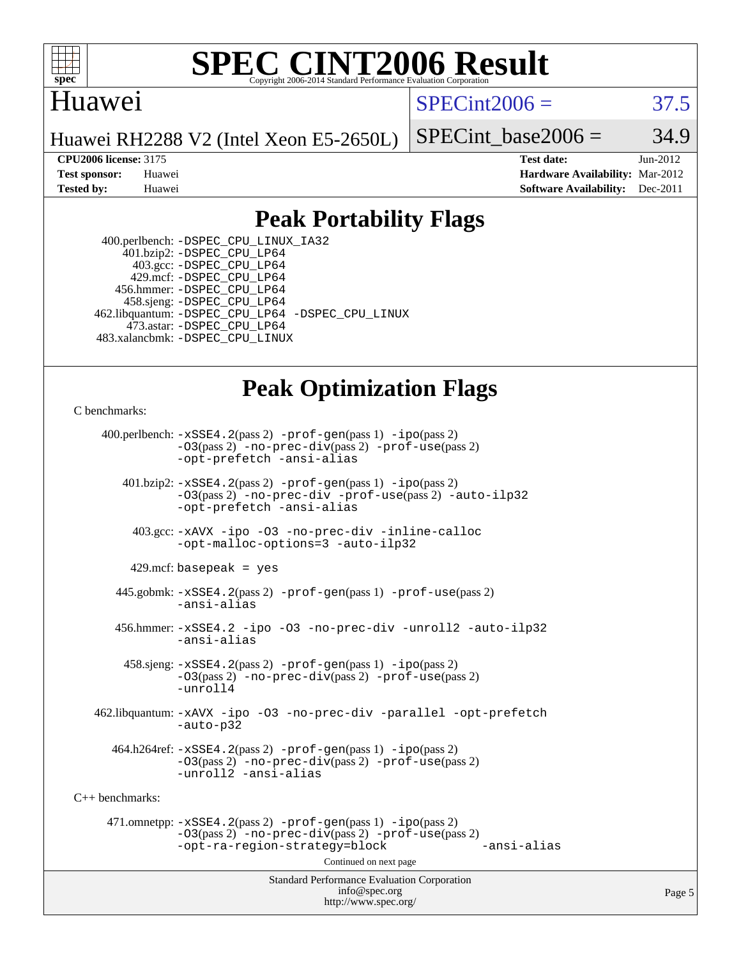

#### **[SPEC CINT2006 Result](http://www.spec.org/auto/cpu2006/Docs/result-fields.html#SPECCINT2006Result)** Copyright 2006-2014 Standard Performance Evaluation C

## Huawei

 $SPECint2006 = 37.5$  $SPECint2006 = 37.5$ 

Huawei RH2288 V2 (Intel Xeon E5-2650L)

SPECint base2006 =  $34.9$ 

**[CPU2006 license:](http://www.spec.org/auto/cpu2006/Docs/result-fields.html#CPU2006license)** 3175 **[Test date:](http://www.spec.org/auto/cpu2006/Docs/result-fields.html#Testdate)** Jun-2012 **[Test sponsor:](http://www.spec.org/auto/cpu2006/Docs/result-fields.html#Testsponsor)** Huawei **[Hardware Availability:](http://www.spec.org/auto/cpu2006/Docs/result-fields.html#HardwareAvailability)** Mar-2012 **[Tested by:](http://www.spec.org/auto/cpu2006/Docs/result-fields.html#Testedby)** Huawei **[Software Availability:](http://www.spec.org/auto/cpu2006/Docs/result-fields.html#SoftwareAvailability)** Dec-2011

## **[Peak Portability Flags](http://www.spec.org/auto/cpu2006/Docs/result-fields.html#PeakPortabilityFlags)**

 400.perlbench: [-DSPEC\\_CPU\\_LINUX\\_IA32](http://www.spec.org/cpu2006/results/res2012q3/cpu2006-20120628-23252.flags.html#b400.perlbench_peakCPORTABILITY_DSPEC_CPU_LINUX_IA32) 401.bzip2: [-DSPEC\\_CPU\\_LP64](http://www.spec.org/cpu2006/results/res2012q3/cpu2006-20120628-23252.flags.html#suite_peakPORTABILITY401_bzip2_DSPEC_CPU_LP64) 403.gcc: [-DSPEC\\_CPU\\_LP64](http://www.spec.org/cpu2006/results/res2012q3/cpu2006-20120628-23252.flags.html#suite_peakPORTABILITY403_gcc_DSPEC_CPU_LP64) 429.mcf: [-DSPEC\\_CPU\\_LP64](http://www.spec.org/cpu2006/results/res2012q3/cpu2006-20120628-23252.flags.html#suite_peakPORTABILITY429_mcf_DSPEC_CPU_LP64) 456.hmmer: [-DSPEC\\_CPU\\_LP64](http://www.spec.org/cpu2006/results/res2012q3/cpu2006-20120628-23252.flags.html#suite_peakPORTABILITY456_hmmer_DSPEC_CPU_LP64) 458.sjeng: [-DSPEC\\_CPU\\_LP64](http://www.spec.org/cpu2006/results/res2012q3/cpu2006-20120628-23252.flags.html#suite_peakPORTABILITY458_sjeng_DSPEC_CPU_LP64) 462.libquantum: [-DSPEC\\_CPU\\_LP64](http://www.spec.org/cpu2006/results/res2012q3/cpu2006-20120628-23252.flags.html#suite_peakPORTABILITY462_libquantum_DSPEC_CPU_LP64) [-DSPEC\\_CPU\\_LINUX](http://www.spec.org/cpu2006/results/res2012q3/cpu2006-20120628-23252.flags.html#b462.libquantum_peakCPORTABILITY_DSPEC_CPU_LINUX) 473.astar: [-DSPEC\\_CPU\\_LP64](http://www.spec.org/cpu2006/results/res2012q3/cpu2006-20120628-23252.flags.html#suite_peakPORTABILITY473_astar_DSPEC_CPU_LP64) 483.xalancbmk: [-DSPEC\\_CPU\\_LINUX](http://www.spec.org/cpu2006/results/res2012q3/cpu2006-20120628-23252.flags.html#b483.xalancbmk_peakCXXPORTABILITY_DSPEC_CPU_LINUX)

## **[Peak Optimization Flags](http://www.spec.org/auto/cpu2006/Docs/result-fields.html#PeakOptimizationFlags)**

[C benchmarks](http://www.spec.org/auto/cpu2006/Docs/result-fields.html#Cbenchmarks):

Standard Performance Evaluation Corporation [info@spec.org](mailto:info@spec.org) 400.perlbench: [-xSSE4.2](http://www.spec.org/cpu2006/results/res2012q3/cpu2006-20120628-23252.flags.html#user_peakPASS2_CFLAGSPASS2_LDCFLAGS400_perlbench_f-xSSE42_f91528193cf0b216347adb8b939d4107)(pass 2) [-prof-gen](http://www.spec.org/cpu2006/results/res2012q3/cpu2006-20120628-23252.flags.html#user_peakPASS1_CFLAGSPASS1_LDCFLAGS400_perlbench_prof_gen_e43856698f6ca7b7e442dfd80e94a8fc)(pass 1) [-ipo](http://www.spec.org/cpu2006/results/res2012q3/cpu2006-20120628-23252.flags.html#user_peakPASS2_CFLAGSPASS2_LDCFLAGS400_perlbench_f-ipo)(pass 2) [-O3](http://www.spec.org/cpu2006/results/res2012q3/cpu2006-20120628-23252.flags.html#user_peakPASS2_CFLAGSPASS2_LDCFLAGS400_perlbench_f-O3)(pass 2) [-no-prec-div](http://www.spec.org/cpu2006/results/res2012q3/cpu2006-20120628-23252.flags.html#user_peakPASS2_CFLAGSPASS2_LDCFLAGS400_perlbench_f-no-prec-div)(pass 2) [-prof-use](http://www.spec.org/cpu2006/results/res2012q3/cpu2006-20120628-23252.flags.html#user_peakPASS2_CFLAGSPASS2_LDCFLAGS400_perlbench_prof_use_bccf7792157ff70d64e32fe3e1250b55)(pass 2) [-opt-prefetch](http://www.spec.org/cpu2006/results/res2012q3/cpu2006-20120628-23252.flags.html#user_peakCOPTIMIZE400_perlbench_f-opt-prefetch) [-ansi-alias](http://www.spec.org/cpu2006/results/res2012q3/cpu2006-20120628-23252.flags.html#user_peakCOPTIMIZE400_perlbench_f-ansi-alias) 401.bzip2: [-xSSE4.2](http://www.spec.org/cpu2006/results/res2012q3/cpu2006-20120628-23252.flags.html#user_peakPASS2_CFLAGSPASS2_LDCFLAGS401_bzip2_f-xSSE42_f91528193cf0b216347adb8b939d4107)(pass 2) [-prof-gen](http://www.spec.org/cpu2006/results/res2012q3/cpu2006-20120628-23252.flags.html#user_peakPASS1_CFLAGSPASS1_LDCFLAGS401_bzip2_prof_gen_e43856698f6ca7b7e442dfd80e94a8fc)(pass 1) [-ipo](http://www.spec.org/cpu2006/results/res2012q3/cpu2006-20120628-23252.flags.html#user_peakPASS2_CFLAGSPASS2_LDCFLAGS401_bzip2_f-ipo)(pass 2) [-O3](http://www.spec.org/cpu2006/results/res2012q3/cpu2006-20120628-23252.flags.html#user_peakPASS2_CFLAGSPASS2_LDCFLAGS401_bzip2_f-O3)(pass 2) [-no-prec-div](http://www.spec.org/cpu2006/results/res2012q3/cpu2006-20120628-23252.flags.html#user_peakCOPTIMIZEPASS2_CFLAGSPASS2_LDCFLAGS401_bzip2_f-no-prec-div) [-prof-use](http://www.spec.org/cpu2006/results/res2012q3/cpu2006-20120628-23252.flags.html#user_peakPASS2_CFLAGSPASS2_LDCFLAGS401_bzip2_prof_use_bccf7792157ff70d64e32fe3e1250b55)(pass 2) [-auto-ilp32](http://www.spec.org/cpu2006/results/res2012q3/cpu2006-20120628-23252.flags.html#user_peakCOPTIMIZE401_bzip2_f-auto-ilp32) [-opt-prefetch](http://www.spec.org/cpu2006/results/res2012q3/cpu2006-20120628-23252.flags.html#user_peakCOPTIMIZE401_bzip2_f-opt-prefetch) [-ansi-alias](http://www.spec.org/cpu2006/results/res2012q3/cpu2006-20120628-23252.flags.html#user_peakCOPTIMIZE401_bzip2_f-ansi-alias) 403.gcc: [-xAVX](http://www.spec.org/cpu2006/results/res2012q3/cpu2006-20120628-23252.flags.html#user_peakCOPTIMIZE403_gcc_f-xAVX) [-ipo](http://www.spec.org/cpu2006/results/res2012q3/cpu2006-20120628-23252.flags.html#user_peakCOPTIMIZE403_gcc_f-ipo) [-O3](http://www.spec.org/cpu2006/results/res2012q3/cpu2006-20120628-23252.flags.html#user_peakCOPTIMIZE403_gcc_f-O3) [-no-prec-div](http://www.spec.org/cpu2006/results/res2012q3/cpu2006-20120628-23252.flags.html#user_peakCOPTIMIZE403_gcc_f-no-prec-div) [-inline-calloc](http://www.spec.org/cpu2006/results/res2012q3/cpu2006-20120628-23252.flags.html#user_peakCOPTIMIZE403_gcc_f-inline-calloc) [-opt-malloc-options=3](http://www.spec.org/cpu2006/results/res2012q3/cpu2006-20120628-23252.flags.html#user_peakCOPTIMIZE403_gcc_f-opt-malloc-options_13ab9b803cf986b4ee62f0a5998c2238) [-auto-ilp32](http://www.spec.org/cpu2006/results/res2012q3/cpu2006-20120628-23252.flags.html#user_peakCOPTIMIZE403_gcc_f-auto-ilp32)  $429$ .mcf: basepeak = yes 445.gobmk: [-xSSE4.2](http://www.spec.org/cpu2006/results/res2012q3/cpu2006-20120628-23252.flags.html#user_peakPASS2_CFLAGSPASS2_LDCFLAGS445_gobmk_f-xSSE42_f91528193cf0b216347adb8b939d4107)(pass 2) [-prof-gen](http://www.spec.org/cpu2006/results/res2012q3/cpu2006-20120628-23252.flags.html#user_peakPASS1_CFLAGSPASS1_LDCFLAGS445_gobmk_prof_gen_e43856698f6ca7b7e442dfd80e94a8fc)(pass 1) [-prof-use](http://www.spec.org/cpu2006/results/res2012q3/cpu2006-20120628-23252.flags.html#user_peakPASS2_CFLAGSPASS2_LDCFLAGS445_gobmk_prof_use_bccf7792157ff70d64e32fe3e1250b55)(pass 2) [-ansi-alias](http://www.spec.org/cpu2006/results/res2012q3/cpu2006-20120628-23252.flags.html#user_peakCOPTIMIZE445_gobmk_f-ansi-alias) 456.hmmer: [-xSSE4.2](http://www.spec.org/cpu2006/results/res2012q3/cpu2006-20120628-23252.flags.html#user_peakCOPTIMIZE456_hmmer_f-xSSE42_f91528193cf0b216347adb8b939d4107) [-ipo](http://www.spec.org/cpu2006/results/res2012q3/cpu2006-20120628-23252.flags.html#user_peakCOPTIMIZE456_hmmer_f-ipo) [-O3](http://www.spec.org/cpu2006/results/res2012q3/cpu2006-20120628-23252.flags.html#user_peakCOPTIMIZE456_hmmer_f-O3) [-no-prec-div](http://www.spec.org/cpu2006/results/res2012q3/cpu2006-20120628-23252.flags.html#user_peakCOPTIMIZE456_hmmer_f-no-prec-div) [-unroll2](http://www.spec.org/cpu2006/results/res2012q3/cpu2006-20120628-23252.flags.html#user_peakCOPTIMIZE456_hmmer_f-unroll_784dae83bebfb236979b41d2422d7ec2) [-auto-ilp32](http://www.spec.org/cpu2006/results/res2012q3/cpu2006-20120628-23252.flags.html#user_peakCOPTIMIZE456_hmmer_f-auto-ilp32) [-ansi-alias](http://www.spec.org/cpu2006/results/res2012q3/cpu2006-20120628-23252.flags.html#user_peakCOPTIMIZE456_hmmer_f-ansi-alias) 458.sjeng: [-xSSE4.2](http://www.spec.org/cpu2006/results/res2012q3/cpu2006-20120628-23252.flags.html#user_peakPASS2_CFLAGSPASS2_LDCFLAGS458_sjeng_f-xSSE42_f91528193cf0b216347adb8b939d4107)(pass 2) [-prof-gen](http://www.spec.org/cpu2006/results/res2012q3/cpu2006-20120628-23252.flags.html#user_peakPASS1_CFLAGSPASS1_LDCFLAGS458_sjeng_prof_gen_e43856698f6ca7b7e442dfd80e94a8fc)(pass 1) [-ipo](http://www.spec.org/cpu2006/results/res2012q3/cpu2006-20120628-23252.flags.html#user_peakPASS2_CFLAGSPASS2_LDCFLAGS458_sjeng_f-ipo)(pass 2) [-O3](http://www.spec.org/cpu2006/results/res2012q3/cpu2006-20120628-23252.flags.html#user_peakPASS2_CFLAGSPASS2_LDCFLAGS458_sjeng_f-O3)(pass 2) [-no-prec-div](http://www.spec.org/cpu2006/results/res2012q3/cpu2006-20120628-23252.flags.html#user_peakPASS2_CFLAGSPASS2_LDCFLAGS458_sjeng_f-no-prec-div)(pass 2) [-prof-use](http://www.spec.org/cpu2006/results/res2012q3/cpu2006-20120628-23252.flags.html#user_peakPASS2_CFLAGSPASS2_LDCFLAGS458_sjeng_prof_use_bccf7792157ff70d64e32fe3e1250b55)(pass 2) [-unroll4](http://www.spec.org/cpu2006/results/res2012q3/cpu2006-20120628-23252.flags.html#user_peakCOPTIMIZE458_sjeng_f-unroll_4e5e4ed65b7fd20bdcd365bec371b81f) 462.libquantum: [-xAVX](http://www.spec.org/cpu2006/results/res2012q3/cpu2006-20120628-23252.flags.html#user_peakCOPTIMIZE462_libquantum_f-xAVX) [-ipo](http://www.spec.org/cpu2006/results/res2012q3/cpu2006-20120628-23252.flags.html#user_peakCOPTIMIZE462_libquantum_f-ipo) [-O3](http://www.spec.org/cpu2006/results/res2012q3/cpu2006-20120628-23252.flags.html#user_peakCOPTIMIZE462_libquantum_f-O3) [-no-prec-div](http://www.spec.org/cpu2006/results/res2012q3/cpu2006-20120628-23252.flags.html#user_peakCOPTIMIZE462_libquantum_f-no-prec-div) [-parallel](http://www.spec.org/cpu2006/results/res2012q3/cpu2006-20120628-23252.flags.html#user_peakCOPTIMIZE462_libquantum_f-parallel) [-opt-prefetch](http://www.spec.org/cpu2006/results/res2012q3/cpu2006-20120628-23252.flags.html#user_peakCOPTIMIZE462_libquantum_f-opt-prefetch) [-auto-p32](http://www.spec.org/cpu2006/results/res2012q3/cpu2006-20120628-23252.flags.html#user_peakCOPTIMIZE462_libquantum_f-auto-p32)  $464.h264$ ref:  $-xSSE4$ .  $2(pass 2)$  [-prof-gen](http://www.spec.org/cpu2006/results/res2012q3/cpu2006-20120628-23252.flags.html#user_peakPASS1_CFLAGSPASS1_LDCFLAGS464_h264ref_prof_gen_e43856698f6ca7b7e442dfd80e94a8fc)(pass 1) [-ipo](http://www.spec.org/cpu2006/results/res2012q3/cpu2006-20120628-23252.flags.html#user_peakPASS2_CFLAGSPASS2_LDCFLAGS464_h264ref_f-ipo)(pass 2) [-O3](http://www.spec.org/cpu2006/results/res2012q3/cpu2006-20120628-23252.flags.html#user_peakPASS2_CFLAGSPASS2_LDCFLAGS464_h264ref_f-O3)(pass 2) [-no-prec-div](http://www.spec.org/cpu2006/results/res2012q3/cpu2006-20120628-23252.flags.html#user_peakPASS2_CFLAGSPASS2_LDCFLAGS464_h264ref_f-no-prec-div)(pass 2) [-prof-use](http://www.spec.org/cpu2006/results/res2012q3/cpu2006-20120628-23252.flags.html#user_peakPASS2_CFLAGSPASS2_LDCFLAGS464_h264ref_prof_use_bccf7792157ff70d64e32fe3e1250b55)(pass 2) [-unroll2](http://www.spec.org/cpu2006/results/res2012q3/cpu2006-20120628-23252.flags.html#user_peakCOPTIMIZE464_h264ref_f-unroll_784dae83bebfb236979b41d2422d7ec2) [-ansi-alias](http://www.spec.org/cpu2006/results/res2012q3/cpu2006-20120628-23252.flags.html#user_peakCOPTIMIZE464_h264ref_f-ansi-alias) [C++ benchmarks:](http://www.spec.org/auto/cpu2006/Docs/result-fields.html#CXXbenchmarks) 471.omnetpp: [-xSSE4.2](http://www.spec.org/cpu2006/results/res2012q3/cpu2006-20120628-23252.flags.html#user_peakPASS2_CXXFLAGSPASS2_LDCXXFLAGS471_omnetpp_f-xSSE42_f91528193cf0b216347adb8b939d4107)(pass 2) [-prof-gen](http://www.spec.org/cpu2006/results/res2012q3/cpu2006-20120628-23252.flags.html#user_peakPASS1_CXXFLAGSPASS1_LDCXXFLAGS471_omnetpp_prof_gen_e43856698f6ca7b7e442dfd80e94a8fc)(pass 1) [-ipo](http://www.spec.org/cpu2006/results/res2012q3/cpu2006-20120628-23252.flags.html#user_peakPASS2_CXXFLAGSPASS2_LDCXXFLAGS471_omnetpp_f-ipo)(pass 2) [-O3](http://www.spec.org/cpu2006/results/res2012q3/cpu2006-20120628-23252.flags.html#user_peakPASS2_CXXFLAGSPASS2_LDCXXFLAGS471_omnetpp_f-O3)(pass 2) [-no-prec-div](http://www.spec.org/cpu2006/results/res2012q3/cpu2006-20120628-23252.flags.html#user_peakPASS2_CXXFLAGSPASS2_LDCXXFLAGS471_omnetpp_f-no-prec-div)(pass 2) [-prof-use](http://www.spec.org/cpu2006/results/res2012q3/cpu2006-20120628-23252.flags.html#user_peakPASS2_CXXFLAGSPASS2_LDCXXFLAGS471_omnetpp_prof_use_bccf7792157ff70d64e32fe3e1250b55)(pass 2) [-opt-ra-region-strategy=block](http://www.spec.org/cpu2006/results/res2012q3/cpu2006-20120628-23252.flags.html#user_peakCXXOPTIMIZE471_omnetpp_f-opt-ra-region-strategy_5382940c29ea30302d682fc74bfe0147) [-ansi-alias](http://www.spec.org/cpu2006/results/res2012q3/cpu2006-20120628-23252.flags.html#user_peakCXXOPTIMIZE471_omnetpp_f-ansi-alias) Continued on next page

<http://www.spec.org/>

Page 5